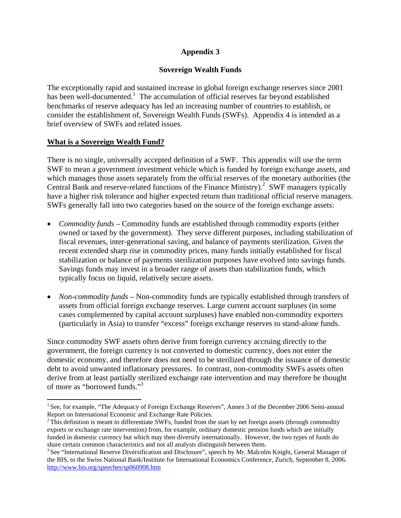# **Appendix 3**

# **Sovereign Wealth Funds**

The exceptionally rapid and sustained increase in global foreign exchange reserves since 2001 has been well-documented.<sup>1</sup> The accumulation of official reserves far beyond established benchmarks of reserve adequacy has led an increasing number of countries to establish, or consider the establishment of, Sovereign Wealth Funds (SWFs). Appendix 4 is intended as a brief overview of SWFs and related issues.

## **What is a Sovereign Wealth Fund?**

There is no single, universally accepted definition of a SWF. This appendix will use the term SWF to mean a government investment vehicle which is funded by foreign exchange assets, and which manages those assets separately from the official reserves of the monetary authorities (the Central Bank and reserve-related functions of the Finance Ministry).<sup>2</sup> SWF managers typically have a higher risk tolerance and higher expected return than traditional official reserve managers. SWFs generally fall into two categories based on the source of the foreign exchange assets:

- *Commodity funds* Commodity funds are established through commodity exports (either owned or taxed by the government). They serve different purposes, including stabilization of fiscal revenues, inter-generational saving, and balance of payments sterilization. Given the recent extended sharp rise in commodity prices, many funds initially established for fiscal stabilization or balance of payments sterilization purposes have evolved into savings funds. Savings funds may invest in a broader range of assets than stabilization funds, which typically focus on liquid, relatively secure assets.
- *Non-commodity funds* Non-commodity funds are typically established through transfers of assets from official foreign exchange reserves. Large current account surpluses (in some cases complemented by capital account surpluses) have enabled non-commodity exporters (particularly in Asia) to transfer "excess" foreign exchange reserves to stand-alone funds.

Since commodity SWF assets often derive from foreign currency accruing directly to the government, the foreign currency is not converted to domestic currency, does not enter the domestic economy, and therefore does not need to be sterilized through the issuance of domestic debt to avoid unwanted inflationary pressures. In contrast, non-commodity SWFs assets often derive from at least partially sterilized exchange rate intervention and may therefore be thought of more as "borrowed funds."3

 $\overline{a}$ <sup>1</sup> See, for example, "The Adequacy of Foreign Exchange Reserves", Annex 3 of the December 2006 Semi-annual

Report on International Economic and Exchange Rate Policies.<br><sup>2</sup> This definition is meant to differentiate SWFs, funded from the start by net foreign assets (through commodity exports or exchange rate intervention) from, for example, ordinary domestic pension funds which are initially funded in domestic currency but which may then diversify internationally. However, the two types of funds do share certain common characteristics and not all analysts distinguish between them.<br><sup>3</sup> See "International Reserve Diversification and Disclosure", speech by Mr. Malcolm Knight, General Manager of

the BIS, to the Swiss National Bank/Institute for International Economics Conference, Zurich, September 8, 2006. http://www.bis.org/speeches/sp060908.htm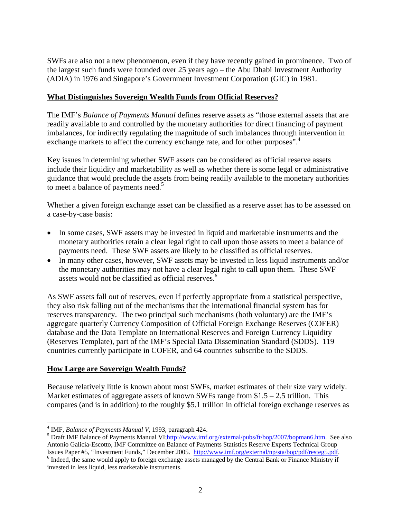SWFs are also not a new phenomenon, even if they have recently gained in prominence. Two of the largest such funds were founded over 25 years ago – the Abu Dhabi Investment Authority (ADIA) in 1976 and Singapore's Government Investment Corporation (GIC) in 1981.

# **What Distinguishes Sovereign Wealth Funds from Official Reserves?**

The IMF's *Balance of Payments Manual* defines reserve assets as "those external assets that are readily available to and controlled by the monetary authorities for direct financing of payment imbalances, for indirectly regulating the magnitude of such imbalances through intervention in exchange markets to affect the currency exchange rate, and for other purposes".<sup>4</sup>

Key issues in determining whether SWF assets can be considered as official reserve assets include their liquidity and marketability as well as whether there is some legal or administrative guidance that would preclude the assets from being readily available to the monetary authorities to meet a balance of payments need.<sup>5</sup>

Whether a given foreign exchange asset can be classified as a reserve asset has to be assessed on a case-by-case basis:

- In some cases, SWF assets may be invested in liquid and marketable instruments and the monetary authorities retain a clear legal right to call upon those assets to meet a balance of payments need. These SWF assets are likely to be classified as official reserves.
- In many other cases, however, SWF assets may be invested in less liquid instruments and/or the monetary authorities may not have a clear legal right to call upon them. These SWF assets would not be classified as official reserves.<sup>6</sup>

As SWF assets fall out of reserves, even if perfectly appropriate from a statistical perspective, they also risk falling out of the mechanisms that the international financial system has for reserves transparency. The two principal such mechanisms (both voluntary) are the IMF's aggregate quarterly Currency Composition of Official Foreign Exchange Reserves (COFER) database and the Data Template on International Reserves and Foreign Currency Liquidity (Reserves Template), part of the IMF's Special Data Dissemination Standard (SDDS). 119 countries currently participate in COFER, and 64 countries subscribe to the SDDS.

## **How Large are Sovereign Wealth Funds?**

Because relatively little is known about most SWFs, market estimates of their size vary widely. Market estimates of aggregate assets of known SWFs range from  $$1.5 - 2.5$  trillion. This compares (and is in addition) to the roughly \$5.1 trillion in official foreign exchange reserves as

 $\overline{a}$ <sup>4</sup> IMF, *Balance of Payments Manual V*, 1993, paragraph 424.

<sup>&</sup>lt;sup>5</sup> Draft IMF Balance of Payments Manual VI;http://www.imf.org/external/pubs/ft/bop/2007/bopman6.htm. See also Antonio Galicia-Escotto, IMF Committee on Balance of Payments Statistics Reserve Experts Technical Group Issues Paper #5, "Investment Funds," December 2005. http://www.imf.org/external/np/sta/bop/pdf/resteg5.pdf. 6  $<sup>6</sup>$  Indeed, the same would apply to foreign exchange assets managed by the Central Bank or Finance Ministry if</sup> invested in less liquid, less marketable instruments.